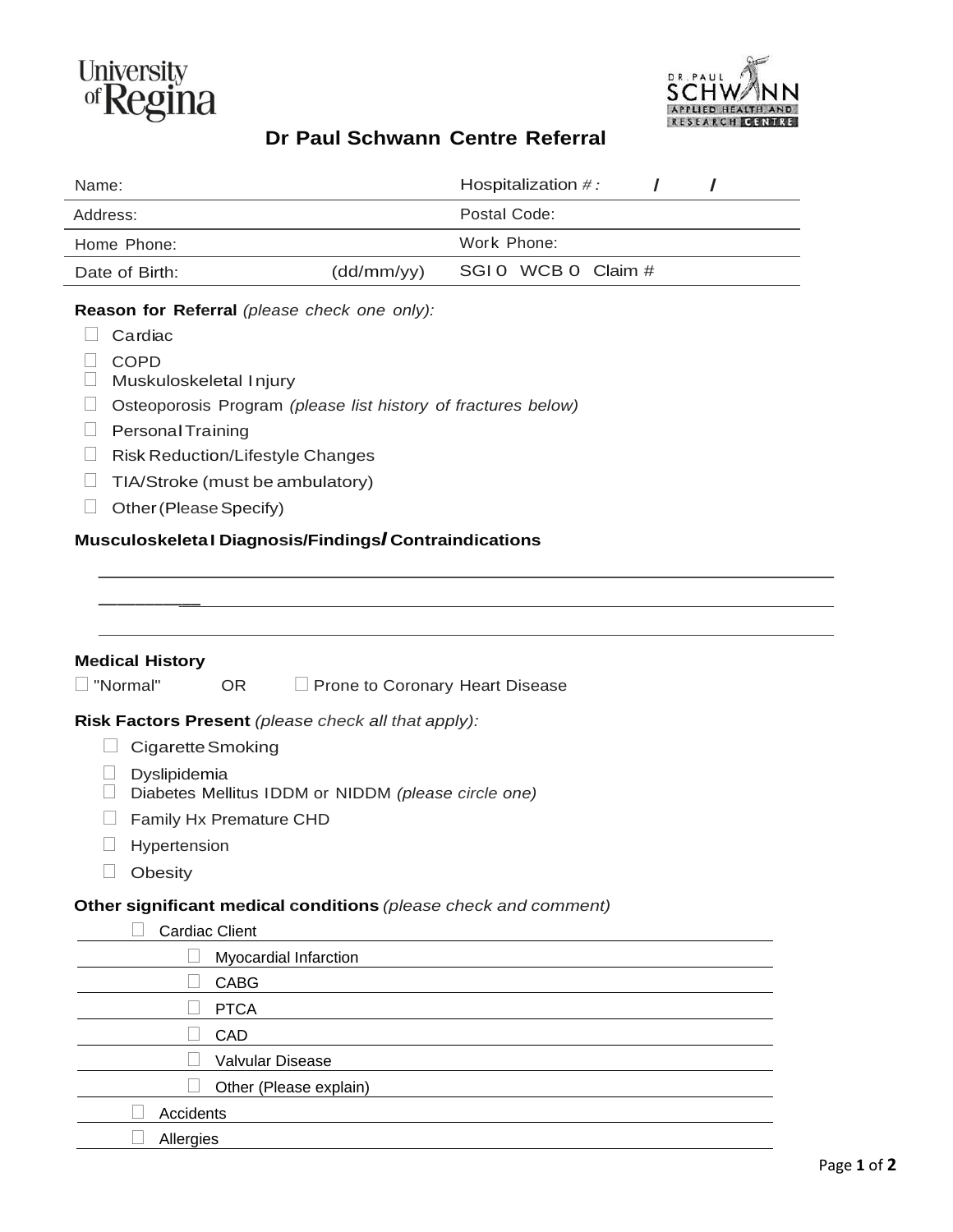

\_\_\_\_\_\_\_\_\_\_\_



## **Dr Paul Schwann Centre Referral**

| Name:                                                                                                                                                                                                                                                                                                                                                   |            | Hospitalization $\#$ : |  |
|---------------------------------------------------------------------------------------------------------------------------------------------------------------------------------------------------------------------------------------------------------------------------------------------------------------------------------------------------------|------------|------------------------|--|
| Address:                                                                                                                                                                                                                                                                                                                                                |            | Postal Code:           |  |
| Home Phone:                                                                                                                                                                                                                                                                                                                                             |            | Work Phone:            |  |
| Date of Birth:                                                                                                                                                                                                                                                                                                                                          | (dd/mm/yy) | SGIO WCB 0 Claim #     |  |
| Reason for Referral (please check one only):<br>Cardiac<br><b>COPD</b><br>Muskuloskeletal Injury<br>Osteoporosis Program (please list history of fractures below)<br><b>Personal Training</b><br>Risk Reduction/Lifestyle Changes<br>TIA/Stroke (must be ambulatory)<br>Other (Please Specify)<br>Musculoskeleta I Diagnosis/Findings/Contraindications |            |                        |  |

| <b>Medical History</b>   |                         |                                                                 |
|--------------------------|-------------------------|-----------------------------------------------------------------|
| "Normal"                 | OR.                     | Prone to Coronary Heart Disease                                 |
|                          |                         | Risk Factors Present (please check all that apply):             |
| <b>Cigarette Smoking</b> |                         |                                                                 |
| Dyslipidemia             |                         | Diabetes Mellitus IDDM or NIDDM (please circle one)             |
|                          | Family Hx Premature CHD |                                                                 |
| Hypertension             |                         |                                                                 |
| Obesity                  |                         |                                                                 |
|                          |                         | Other significant medical conditions (please check and comment) |
| <b>Cardiac Client</b>    |                         |                                                                 |
|                          | Myocardial Infarction   |                                                                 |
|                          | <b>CABG</b>             |                                                                 |
|                          | <b>PTCA</b>             |                                                                 |
|                          | CAD                     |                                                                 |
|                          | Valvular Disease        |                                                                 |
|                          |                         | Other (Please explain)                                          |
| Accidents                |                         |                                                                 |
| Allergies                |                         |                                                                 |